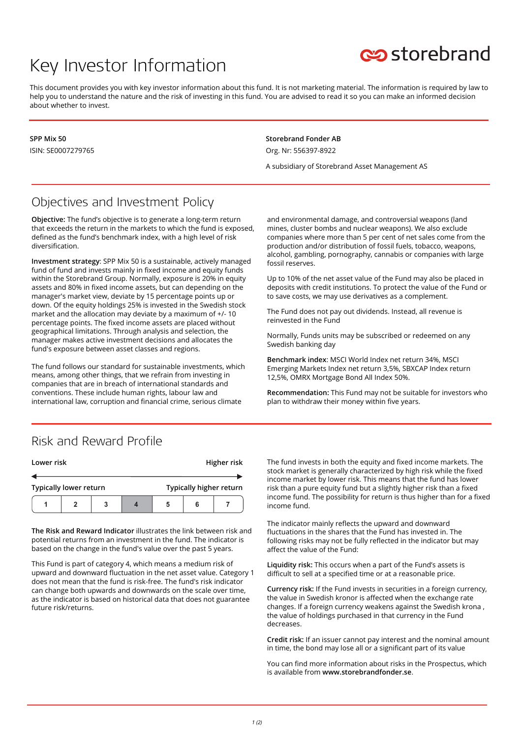# Key Investor Information



This document provides you with key investor information about this fund. It is not marketing material. The information is required by law to help you to understand the nature and the risk of investing in this fund. You are advised to read it so you can make an informed decision about whether to invest.

**SPP Mix 50** ISIN: SE0007279765 **Storebrand Fonder AB** Org. Nr: 556397-8922

A subsidiary of Storebrand Asset Management AS

### Objectives and Investment Policy

**Objective:** The fund's objective is to generate a long-term return that exceeds the return in the markets to which the fund is exposed, defined as the fund's benchmark index, with a high level of risk diversification.

**Investment strategy**: SPP Mix 50 is a sustainable, actively managed fund of fund and invests mainly in fixed income and equity funds within the Storebrand Group. Normally, exposure is 20% in equity assets and 80% in fixed income assets, but can depending on the manager's market view, deviate by 15 percentage points up or down. Of the equity holdings 25% is invested in the Swedish stock market and the allocation may deviate by a maximum of +/- 10 percentage points. The fixed income assets are placed without geographical limitations. Through analysis and selection, the manager makes active investment decisions and allocates the fund's exposure between asset classes and regions.

The fund follows our standard for sustainable investments, which means, among other things, that we refrain from investing in companies that are in breach of international standards and conventions. These include human rights, labour law and international law, corruption and financial crime, serious climate

and environmental damage, and controversial weapons (land mines, cluster bombs and nuclear weapons). We also exclude companies where more than 5 per cent of net sales come from the production and/or distribution of fossil fuels, tobacco, weapons, alcohol, gambling, pornography, cannabis or companies with large fossil reserves.

Up to 10% of the net asset value of the Fund may also be placed in deposits with credit institutions. To protect the value of the Fund or to save costs, we may use derivatives as a complement.

The Fund does not pay out dividends. Instead, all revenue is reinvested in the Fund

Normally, Funds units may be subscribed or redeemed on any Swedish banking day

**Benchmark index**: MSCI World Index net return 34%, MSCI Emerging Markets Index net return 3,5%, SBXCAP Index return 12,5%, OMRX Mortgage Bond All Index 50%.

**Recommendation:** This Fund may not be suitable for investors who plan to withdraw their money within five years.

#### Risk and Reward Profile

| Lower risk                    |  |  | Higher risk |                         |  |  |
|-------------------------------|--|--|-------------|-------------------------|--|--|
|                               |  |  |             |                         |  |  |
| <b>Typically lower return</b> |  |  |             | Typically higher return |  |  |
|                               |  |  |             | b                       |  |  |

**The Risk and Reward Indicator** illustrates the link between risk and potential returns from an investment in the fund. The indicator is based on the change in the fund's value over the past 5 years.

This Fund is part of category 4, which means a medium risk of upward and downward fluctuation in the net asset value. Category 1 does not mean that the fund is risk-free. The fund's risk indicator can change both upwards and downwards on the scale over time, as the indicator is based on historical data that does not guarantee future risk/returns.

The fund invests in both the equity and fixed income markets. The stock market is generally characterized by high risk while the fixed income market by lower risk. This means that the fund has lower risk than a pure equity fund but a slightly higher risk than a fixed income fund. The possibility for return is thus higher than for a fixed income fund.

The indicator mainly reflects the upward and downward fluctuations in the shares that the Fund has invested in. The following risks may not be fully reflected in the indicator but may affect the value of the Fund:

**Liquidity risk:** This occurs when a part of the Fund's assets is difficult to sell at a specified time or at a reasonable price.

**Currency risk:** If the Fund invests in securities in a foreign currency, the value in Swedish kronor is affected when the exchange rate changes. If a foreign currency weakens against the Swedish krona , the value of holdings purchased in that currency in the Fund decreases.

**Credit risk:** If an issuer cannot pay interest and the nominal amount in time, the bond may lose all or a significant part of its value

You can find more information about risks in the Prospectus, which is available from **www.storebrandfonder.se**.